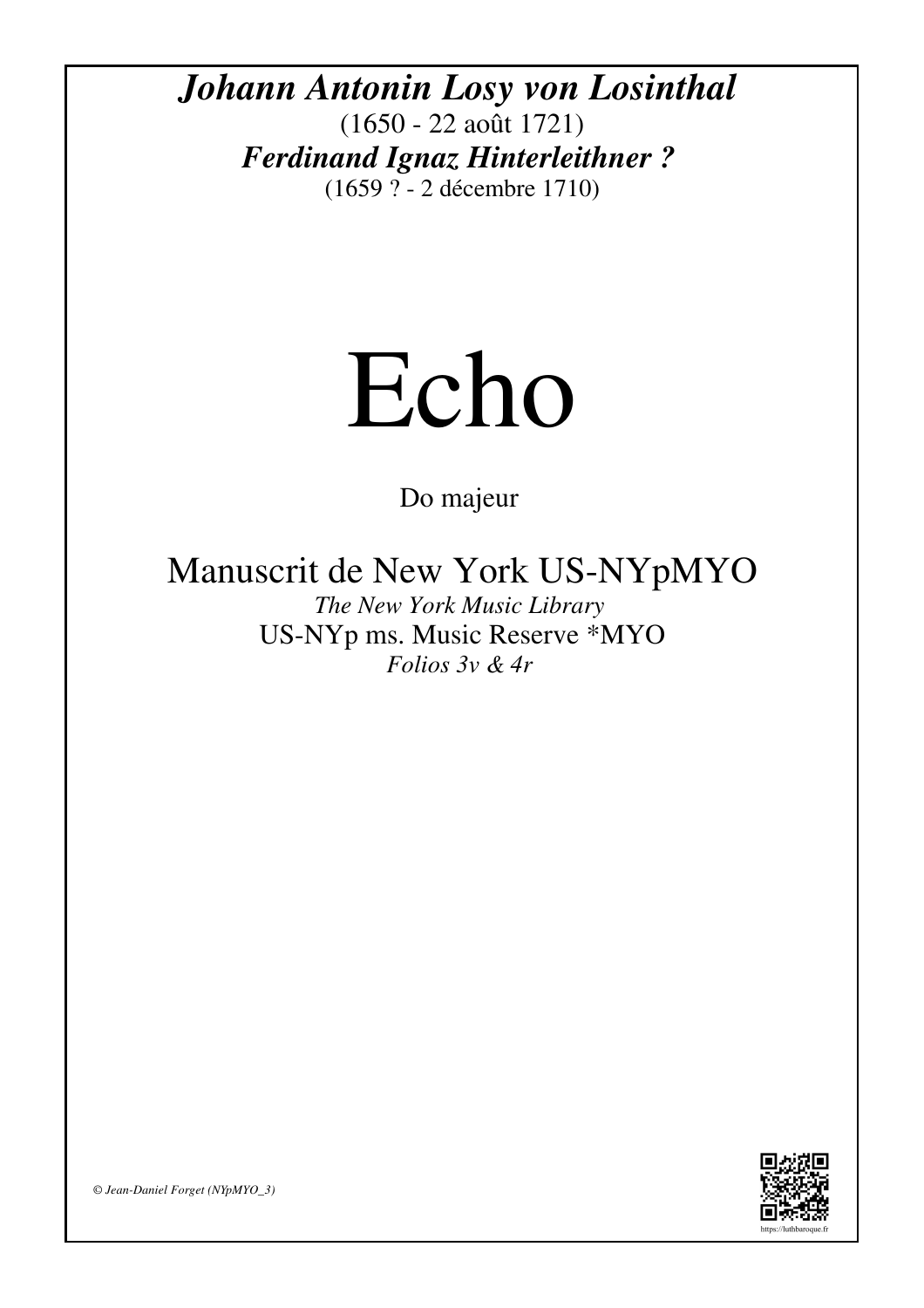*Johann Antonin Losy von Losinthal* (1650 - 22 août 1721) *Ferdinand Ignaz Hinterleithner ?* (1659 ? - 2 décembre 1710)

## Echo

Do majeur

Manuscrit de New York US-NYpMYO

*The New York Music Library* US-NYp ms. Music Reserve \*MYO *Folios 3v & 4r* 



*© Jean-Daniel Forget (NYpMYO\_3)*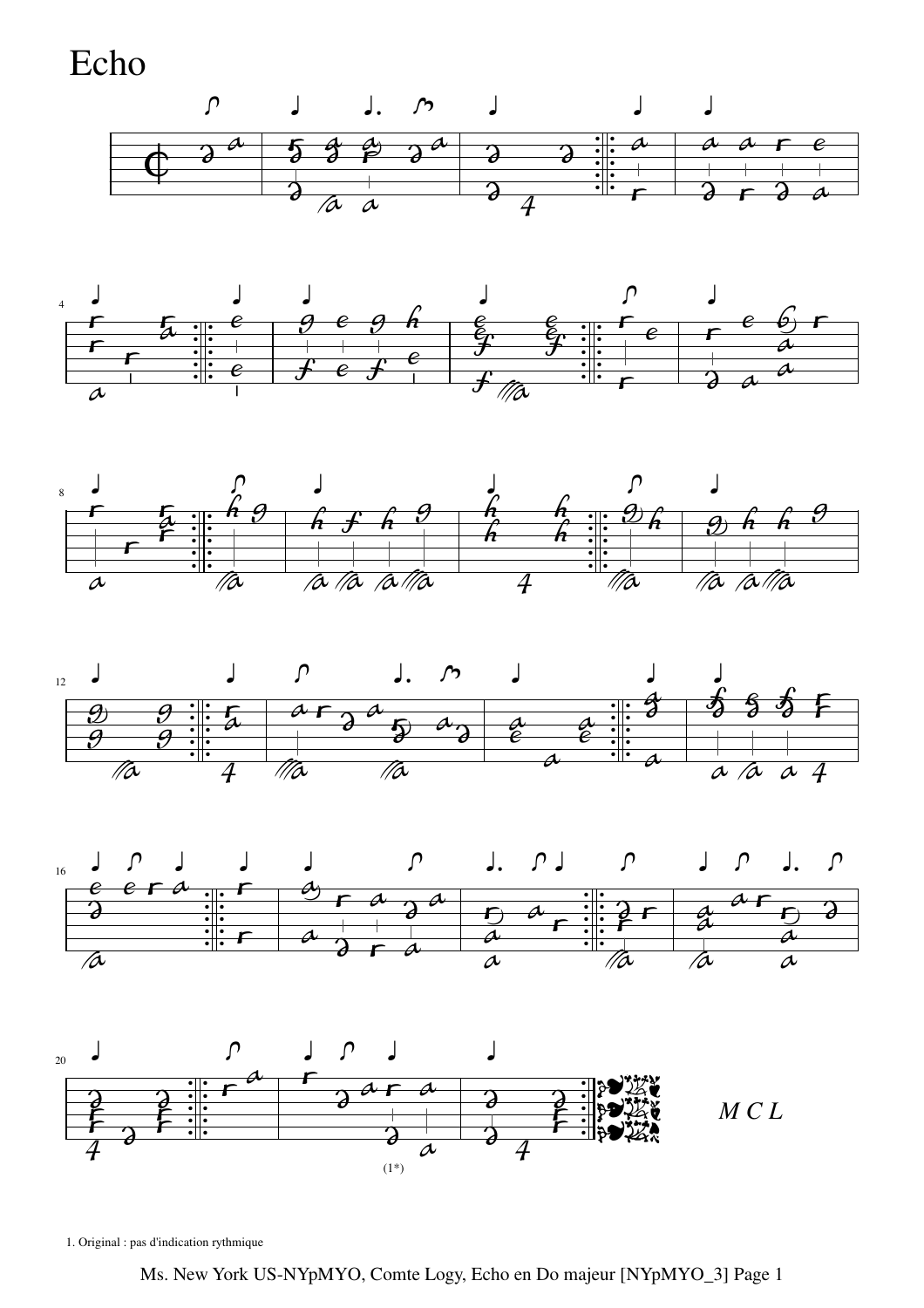Echo













1. Original : pas d'indication rythmique

Ms. New York US-NYpMYO, Comte Logy, Echo en Do majeur [NYpMYO\_3] Page 1